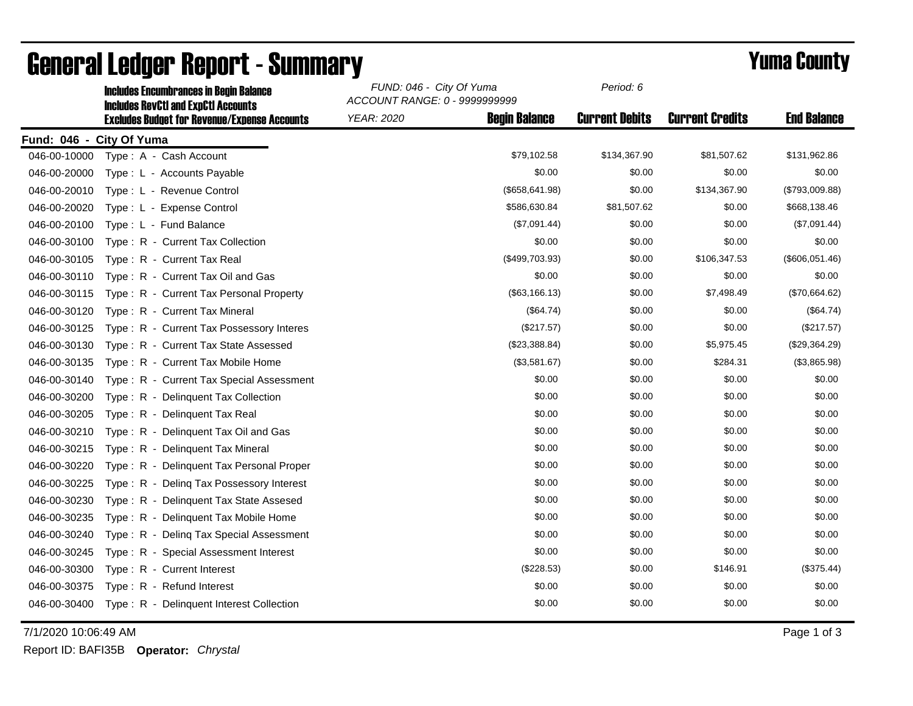|                          | <b>Includes Encumbrances in Begin Balance</b>                                                     | FUND: 046 - City Of Yuma<br>ACCOUNT RANGE: 0 - 9999999999 |                      | Period: 6             |                        |                    |
|--------------------------|---------------------------------------------------------------------------------------------------|-----------------------------------------------------------|----------------------|-----------------------|------------------------|--------------------|
|                          | <b>Includes RevCtI and ExpCtI Accounts</b><br><b>Excludes Budget for Revenue/Expense Accounts</b> | <b>YEAR: 2020</b>                                         | <b>Begin Balance</b> | <b>Current Debits</b> | <b>Current Credits</b> | <b>End Balance</b> |
| Fund: 046 - City Of Yuma |                                                                                                   |                                                           |                      |                       |                        |                    |
| 046-00-10000             | Type: A - Cash Account                                                                            |                                                           | \$79,102.58          | \$134,367.90          | \$81,507.62            | \$131,962.86       |
| 046-00-20000             | Type: L - Accounts Payable                                                                        |                                                           | \$0.00               | \$0.00                | \$0.00                 | \$0.00             |
| 046-00-20010             | Type: L - Revenue Control                                                                         |                                                           | (\$658,641.98)       | \$0.00                | \$134,367.90           | (\$793,009.88)     |
| 046-00-20020             | Type: L - Expense Control                                                                         |                                                           | \$586,630.84         | \$81,507.62           | \$0.00                 | \$668,138.46       |
| 046-00-20100             | Type: L - Fund Balance                                                                            |                                                           | (\$7,091.44)         | \$0.00                | \$0.00                 | (\$7,091.44)       |
| 046-00-30100             | Type: R - Current Tax Collection                                                                  |                                                           | \$0.00               | \$0.00                | \$0.00                 | \$0.00             |
| 046-00-30105             | Type: R - Current Tax Real                                                                        |                                                           | (\$499,703.93)       | \$0.00                | \$106,347.53           | (\$606,051.46)     |
| 046-00-30110             | Type: R - Current Tax Oil and Gas                                                                 |                                                           | \$0.00               | \$0.00                | \$0.00                 | \$0.00             |
| 046-00-30115             | Type: R - Current Tax Personal Property                                                           |                                                           | (\$63,166.13)        | \$0.00                | \$7,498.49             | (\$70,664.62)      |
| 046-00-30120             | Type: R - Current Tax Mineral                                                                     |                                                           | (\$64.74)            | \$0.00                | \$0.00                 | (\$64.74)          |
| 046-00-30125             | Type: R - Current Tax Possessory Interes                                                          |                                                           | (\$217.57)           | \$0.00                | \$0.00                 | (\$217.57)         |
| 046-00-30130             | Type: R - Current Tax State Assessed                                                              |                                                           | (\$23,388.84)        | \$0.00                | \$5,975.45             | (\$29,364.29)      |
| 046-00-30135             | Type: R - Current Tax Mobile Home                                                                 |                                                           | (\$3,581.67)         | \$0.00                | \$284.31               | (\$3,865.98)       |
| 046-00-30140             | Type: R - Current Tax Special Assessment                                                          |                                                           | \$0.00               | \$0.00                | \$0.00                 | \$0.00             |
| 046-00-30200             | Type: R - Delinquent Tax Collection                                                               |                                                           | \$0.00               | \$0.00                | \$0.00                 | \$0.00             |
| 046-00-30205             | Type: R - Delinguent Tax Real                                                                     |                                                           | \$0.00               | \$0.00                | \$0.00                 | \$0.00             |
| 046-00-30210             | Type: R - Delinquent Tax Oil and Gas                                                              |                                                           | \$0.00               | \$0.00                | \$0.00                 | \$0.00             |
| 046-00-30215             | <b>Delinquent Tax Mineral</b><br>$Type: R -$                                                      |                                                           | \$0.00               | \$0.00                | \$0.00                 | \$0.00             |
| 046-00-30220             | Type: R - Delinquent Tax Personal Proper                                                          |                                                           | \$0.00               | \$0.00                | \$0.00                 | \$0.00             |
| 046-00-30225             | Type: R - Deling Tax Possessory Interest                                                          |                                                           | \$0.00               | \$0.00                | \$0.00                 | \$0.00             |
| 046-00-30230             | Type: R - Delinguent Tax State Assesed                                                            |                                                           | \$0.00               | \$0.00                | \$0.00                 | \$0.00             |
| 046-00-30235             | Type: R - Delinquent Tax Mobile Home                                                              |                                                           | \$0.00               | \$0.00                | \$0.00                 | \$0.00             |
| 046-00-30240             | Type: R - Deling Tax Special Assessment                                                           |                                                           | \$0.00               | \$0.00                | \$0.00                 | \$0.00             |
| 046-00-30245             | Type: R - Special Assessment Interest                                                             |                                                           | \$0.00               | \$0.00                | \$0.00                 | \$0.00             |
| 046-00-30300             | Type: R - Current Interest                                                                        |                                                           | (\$228.53)           | \$0.00                | \$146.91               | (\$375.44)         |
| 046-00-30375             | Type: R - Refund Interest                                                                         |                                                           | \$0.00               | \$0.00                | \$0.00                 | \$0.00             |
| 046-00-30400             | Type: R - Delinquent Interest Collection                                                          |                                                           | \$0.00               | \$0.00                | \$0.00                 | \$0.00             |

## General Ledger Report - Summary<br>
Seneral Summary *FUND: 046 - City Of Yuma Period: 6*

7/1/2020 10:06:49 AM Page 1 of 3

Report ID: BAFI35B **Operator:** *Chrystal*

*Period: 6*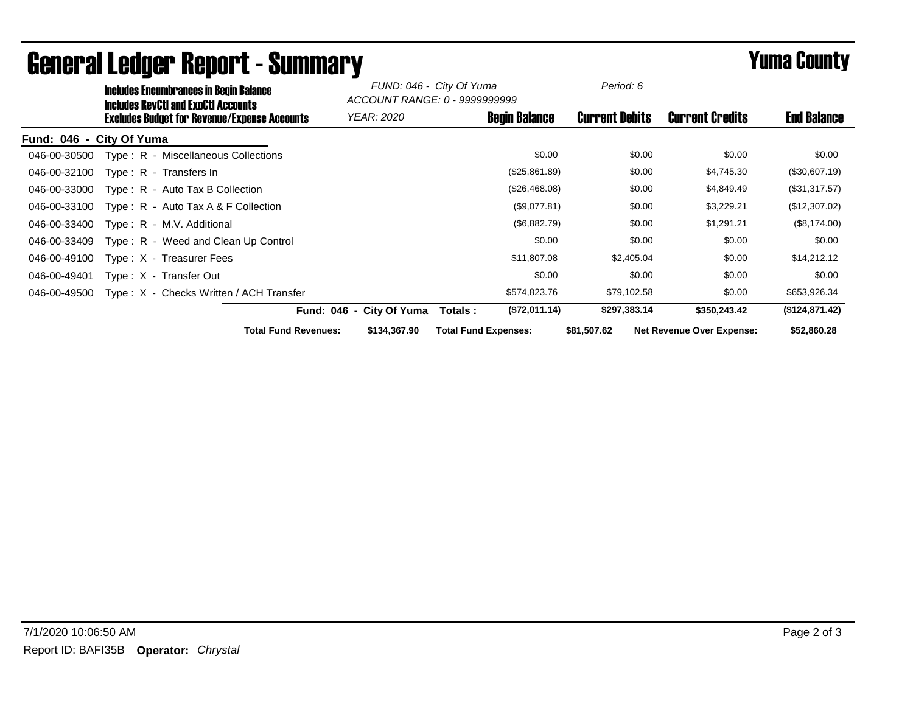| <b>Includes Encumbrances in Begin Balance</b><br><b>Includes RevCtI and ExpCtI Accounts</b> |                             | FUND: 046 - City Of Yuma<br>ACCOUNT RANGE: 0 - 9999999999 |                             | Period: 6            |                       |                                  |                    |
|---------------------------------------------------------------------------------------------|-----------------------------|-----------------------------------------------------------|-----------------------------|----------------------|-----------------------|----------------------------------|--------------------|
| <b>Excludes Budget for Revenue/Expense Accounts</b>                                         |                             | YEAR: 2020                                                |                             | <b>Begin Balance</b> | <b>Current Debits</b> | <b>Current Credits</b>           | <b>End Balance</b> |
| Fund: 046 - City Of Yuma                                                                    |                             |                                                           |                             |                      |                       |                                  |                    |
| Type: R - Miscellaneous Collections<br>046-00-30500                                         |                             |                                                           |                             | \$0.00               | \$0.00                | \$0.00                           | \$0.00             |
| 046-00-32100<br>$Type: R - Transfers In$                                                    |                             |                                                           |                             | (\$25,861.89)        | \$0.00                | \$4,745.30                       | (\$30,607.19)      |
| 046-00-33000<br>$Type: R - Auto Tax B Collection$                                           |                             |                                                           |                             | (\$26,468.08)        | \$0.00                | \$4,849.49                       | (\$31,317.57)      |
| 046-00-33100<br>Type: $R -$ Auto Tax A & F Collection                                       |                             |                                                           |                             | (\$9,077.81)         | \$0.00                | \$3,229.21                       | (\$12,307.02)      |
| 046-00-33400<br>Type: R - M.V. Additional                                                   |                             |                                                           |                             | (\$6,882.79)         | \$0.00                | \$1,291.21                       | (\$8,174.00)       |
| 046-00-33409<br>Type: R - Weed and Clean Up Control                                         |                             |                                                           |                             | \$0.00               | \$0.00                | \$0.00                           | \$0.00             |
| 046-00-49100<br>Type: X - Treasurer Fees                                                    |                             |                                                           |                             | \$11,807.08          | \$2,405.04            | \$0.00                           | \$14,212.12        |
| 046-00-49401<br>Type: X - Transfer Out                                                      |                             |                                                           |                             | \$0.00               | \$0.00                | \$0.00                           | \$0.00             |
| Type: X - Checks Written / ACH Transfer<br>046-00-49500                                     |                             |                                                           |                             | \$574,823.76         | \$79,102.58           | \$0.00                           | \$653,926.34       |
|                                                                                             |                             | Fund: 046 - City Of Yuma                                  | Totals :                    | (\$72,011.14)        | \$297,383.14          | \$350,243.42                     | (\$124,871.42)     |
|                                                                                             | <b>Total Fund Revenues:</b> | \$134,367.90                                              | <b>Total Fund Expenses:</b> |                      | \$81,507.62           | <b>Net Revenue Over Expense:</b> | \$52,860.28        |

## General Ledger Report - Summary **Eliter City of Summary** Prince of the County of Second Second Second Second Second Second Second Second Second Second Second Second Second Second Second Second Second Second Second Second S